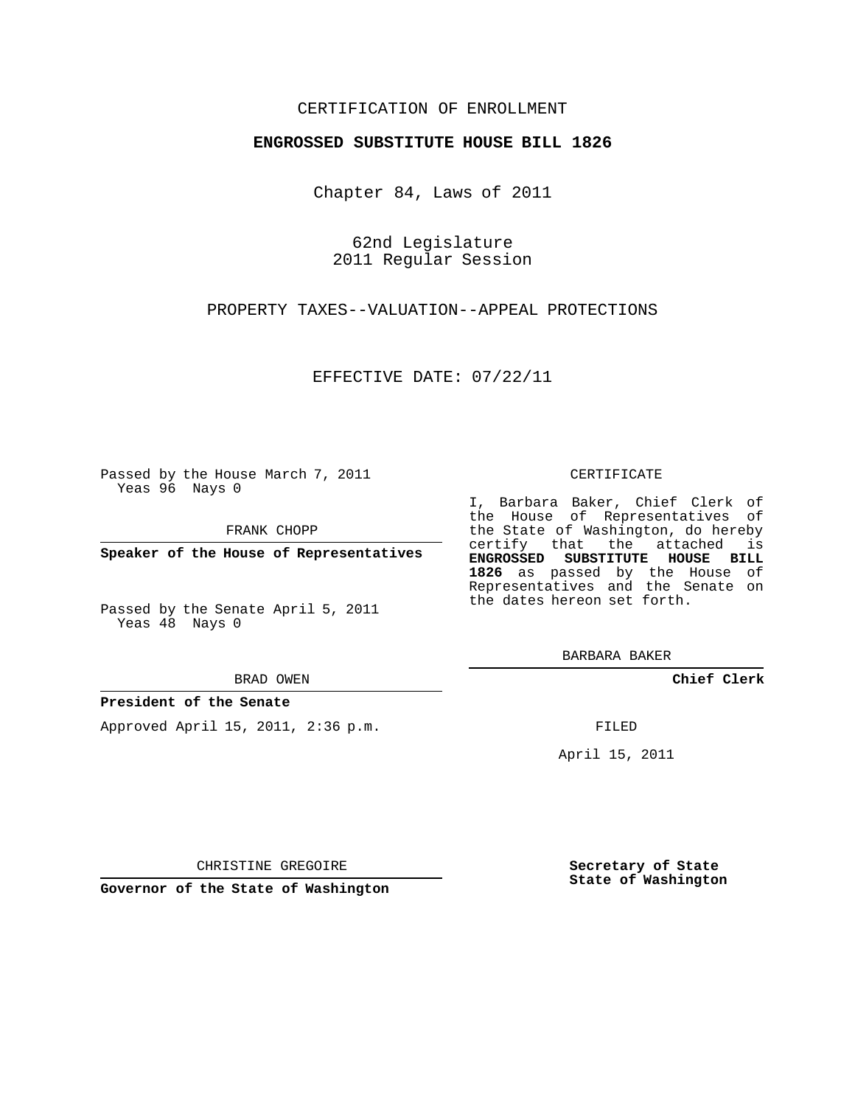## CERTIFICATION OF ENROLLMENT

### **ENGROSSED SUBSTITUTE HOUSE BILL 1826**

Chapter 84, Laws of 2011

62nd Legislature 2011 Regular Session

PROPERTY TAXES--VALUATION--APPEAL PROTECTIONS

EFFECTIVE DATE: 07/22/11

Passed by the House March 7, 2011 Yeas 96 Nays 0

FRANK CHOPP

**Speaker of the House of Representatives**

Passed by the Senate April 5, 2011 Yeas 48 Nays 0

#### BRAD OWEN

### **President of the Senate**

Approved April 15, 2011, 2:36 p.m.

#### CERTIFICATE

I, Barbara Baker, Chief Clerk of the House of Representatives of the State of Washington, do hereby certify that the attached is **ENGROSSED SUBSTITUTE HOUSE BILL 1826** as passed by the House of Representatives and the Senate on the dates hereon set forth.

BARBARA BAKER

**Chief Clerk**

FILED

April 15, 2011

CHRISTINE GREGOIRE

**Governor of the State of Washington**

**Secretary of State State of Washington**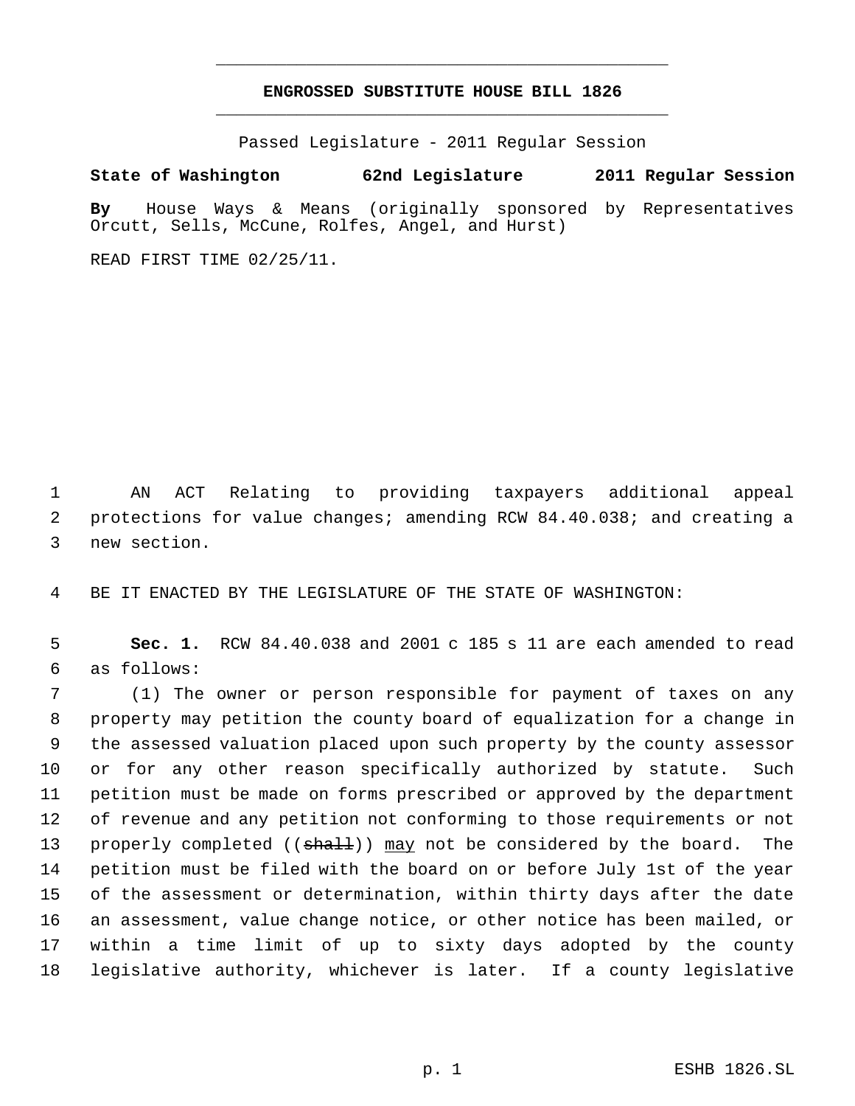# **ENGROSSED SUBSTITUTE HOUSE BILL 1826** \_\_\_\_\_\_\_\_\_\_\_\_\_\_\_\_\_\_\_\_\_\_\_\_\_\_\_\_\_\_\_\_\_\_\_\_\_\_\_\_\_\_\_\_\_

\_\_\_\_\_\_\_\_\_\_\_\_\_\_\_\_\_\_\_\_\_\_\_\_\_\_\_\_\_\_\_\_\_\_\_\_\_\_\_\_\_\_\_\_\_

Passed Legislature - 2011 Regular Session

## **State of Washington 62nd Legislature 2011 Regular Session**

**By** House Ways & Means (originally sponsored by Representatives Orcutt, Sells, McCune, Rolfes, Angel, and Hurst)

READ FIRST TIME 02/25/11.

 AN ACT Relating to providing taxpayers additional appeal protections for value changes; amending RCW 84.40.038; and creating a new section.

BE IT ENACTED BY THE LEGISLATURE OF THE STATE OF WASHINGTON:

 **Sec. 1.** RCW 84.40.038 and 2001 c 185 s 11 are each amended to read as follows:

 (1) The owner or person responsible for payment of taxes on any property may petition the county board of equalization for a change in the assessed valuation placed upon such property by the county assessor or for any other reason specifically authorized by statute. Such petition must be made on forms prescribed or approved by the department of revenue and any petition not conforming to those requirements or not 13 properly completed (( $\frac{1}{3}$ ) may not be considered by the board. The petition must be filed with the board on or before July 1st of the year of the assessment or determination, within thirty days after the date an assessment, value change notice, or other notice has been mailed, or within a time limit of up to sixty days adopted by the county legislative authority, whichever is later. If a county legislative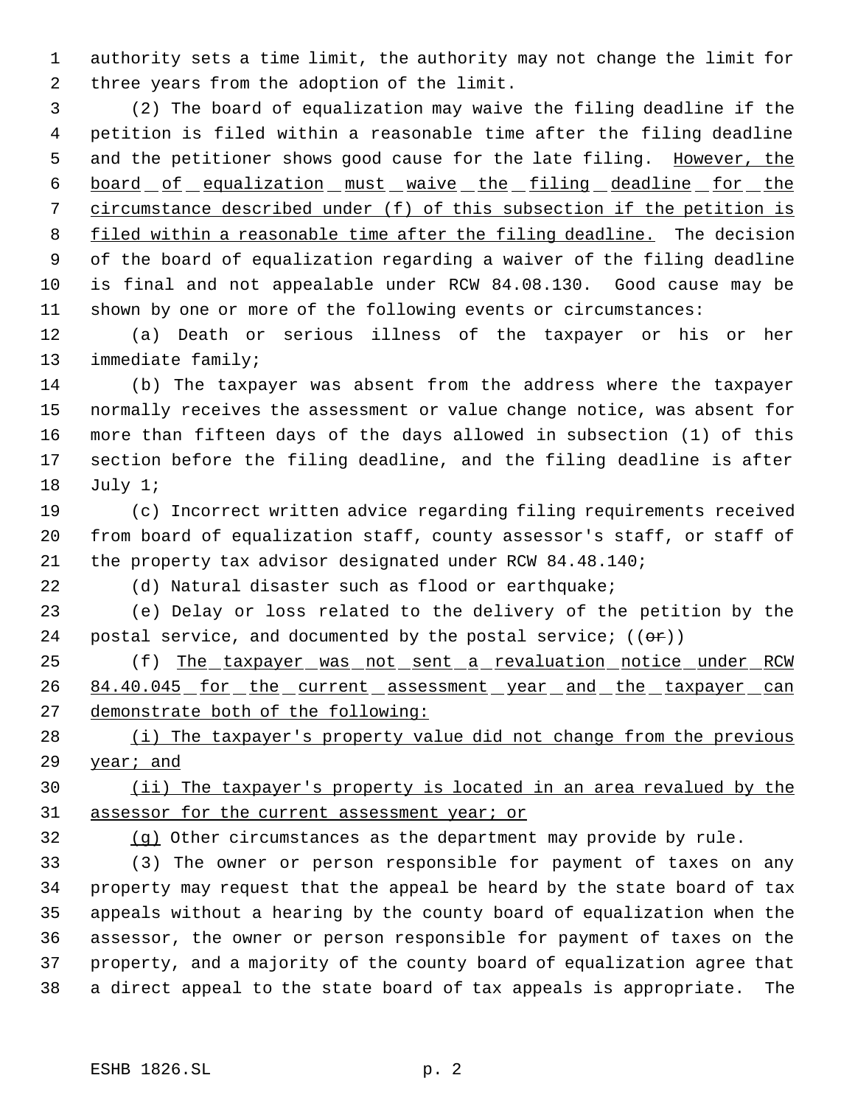authority sets a time limit, the authority may not change the limit for three years from the adoption of the limit.

 (2) The board of equalization may waive the filing deadline if the petition is filed within a reasonable time after the filing deadline 5 and the petitioner shows good cause for the late filing. However, the 6 board of equalization must waive the filing deadline for the circumstance described under (f) of this subsection if the petition is 8 filed within a reasonable time after the filing deadline. The decision of the board of equalization regarding a waiver of the filing deadline is final and not appealable under RCW 84.08.130. Good cause may be shown by one or more of the following events or circumstances:

 (a) Death or serious illness of the taxpayer or his or her immediate family;

 (b) The taxpayer was absent from the address where the taxpayer normally receives the assessment or value change notice, was absent for more than fifteen days of the days allowed in subsection (1) of this section before the filing deadline, and the filing deadline is after July 1;

 (c) Incorrect written advice regarding filing requirements received from board of equalization staff, county assessor's staff, or staff of the property tax advisor designated under RCW 84.48.140;

(d) Natural disaster such as flood or earthquake;

 (e) Delay or loss related to the delivery of the petition by the 24 postal service, and documented by the postal service;  $((\theta \cdot \hat{r}))$ 

25 (f) The taxpayer was not sent a revaluation notice under RCW 26 84.40.045 for the current assessment year and the taxpayer can demonstrate both of the following:

28 (i) The taxpayer's property value did not change from the previous 29 year; and

 (ii) The taxpayer's property is located in an area revalued by the 31 assessor for the current assessment year; or

(g) Other circumstances as the department may provide by rule.

 (3) The owner or person responsible for payment of taxes on any property may request that the appeal be heard by the state board of tax appeals without a hearing by the county board of equalization when the assessor, the owner or person responsible for payment of taxes on the property, and a majority of the county board of equalization agree that a direct appeal to the state board of tax appeals is appropriate. The